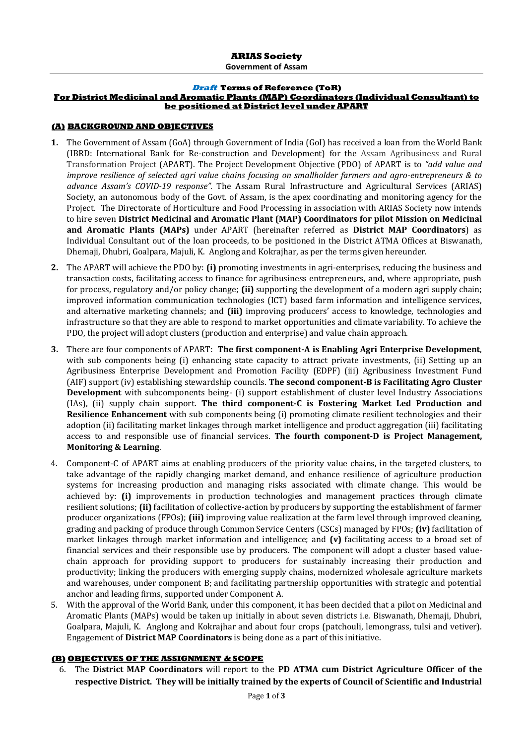#### **Draft Terms of Reference (ToR) For District Medicinal and Aromatic Plants (MAP) Coordinators (Individual Consultant) to be positioned at District level under APART**

#### **(A) BACKGROUND AND OBJECTIVES**

- **1.** The Government of Assam (GoA) through Government of India (GoI) has received a loan from the World Bank (IBRD: International Bank for Re-construction and Development) for the Assam Agribusiness and Rural Transformation Project (APART). The Project Development Objective (PDO) of APART is to *"add value and improve resilience of selected agri value chains focusing on smallholder farmers and agro-entrepreneurs & to advance Assam's COVID-19 response".* The Assam Rural Infrastructure and Agricultural Services (ARIAS) Society, an autonomous body of the Govt. of Assam, is the apex coordinating and monitoring agency for the Project. The Directorate of Horticulture and Food Processing in association with ARIAS Society now intends to hire seven **District Medicinal and Aromatic Plant (MAP) Coordinators for pilot Mission on Medicinal and Aromatic Plants (MAPs)** under APART (hereinafter referred as **District MAP Coordinators**) as Individual Consultant out of the loan proceeds, to be positioned in the District ATMA Offices at Biswanath, Dhemaji, Dhubri, Goalpara, Majuli, K. Anglong and Kokrajhar, as per the terms given hereunder.
- **2.** The APART will achieve the PDO by: **(i)** promoting investments in agri-enterprises, reducing the business and transaction costs, facilitating access to finance for agribusiness entrepreneurs, and, where appropriate, push for process, regulatory and/or policy change; **(ii)** supporting the development of a modern agri supply chain; improved information communication technologies (ICT) based farm information and intelligence services, and alternative marketing channels; and **(iii)** improving producers' access to knowledge, technologies and infrastructure so that they are able to respond to market opportunities and climate variability. To achieve the PDO, the project will adopt clusters (production and enterprise) and value chain approach.
- **3.** There are four components of APART: **The first component-A is Enabling Agri Enterprise Development**, with sub components being (i) enhancing state capacity to attract private investments, (ii) Setting up an Agribusiness Enterprise Development and Promotion Facility (EDPF) (iii) Agribusiness Investment Fund (AIF) support (iv) establishing stewardship councils. **The second component-B is Facilitating Agro Cluster Development** with subcomponents being- (i) support establishment of cluster level Industry Associations (IAs), (ii) supply chain support. **The third component-C is Fostering Market Led Production and Resilience Enhancement** with sub components being (i) promoting climate resilient technologies and their adoption (ii) facilitating market linkages through market intelligence and product aggregation (iii) facilitating access to and responsible use of financial services. **The fourth component-D is Project Management, Monitoring & Learning**.
- 4. Component-C of APART aims at enabling producers of the priority value chains, in the targeted clusters, to take advantage of the rapidly changing market demand, and enhance resilience of agriculture production systems for increasing production and managing risks associated with climate change. This would be achieved by: **(i)** improvements in production technologies and management practices through climate resilient solutions; **(ii)** facilitation of collective-action by producers by supporting the establishment of farmer producer organizations (FPOs); **(iii)** improving value realization at the farm level through improved cleaning, grading and packing of produce through Common Service Centers (CSCs) managed by FPOs; **(iv)** facilitation of market linkages through market information and intelligence; and **(v)** facilitating access to a broad set of financial services and their responsible use by producers. The component will adopt a cluster based valuechain approach for providing support to producers for sustainably increasing their production and productivity; linking the producers with emerging supply chains, modernized wholesale agriculture markets and warehouses, under component B; and facilitating partnership opportunities with strategic and potential anchor and leading firms, supported under Component A.
- 5. With the approval of the World Bank, under this component, it has been decided that a pilot on Medicinal and Aromatic Plants (MAPs) would be taken up initially in about seven districts i.e. Biswanath, Dhemaji, Dhubri, Goalpara, Majuli, K. Anglong and Kokrajhar and about four crops (patchouli, lemongrass, tulsi and vetiver). Engagement of **District MAP Coordinators** is being done as a part of this initiative.

### **(B) OBJECTIVES OF THE ASSIGNMENT & SCOPE**

6. The **District MAP Coordinators** will report to the **PD ATMA cum District Agriculture Officer of the respective District. They will be initially trained by the experts of Council of Scientific and Industrial**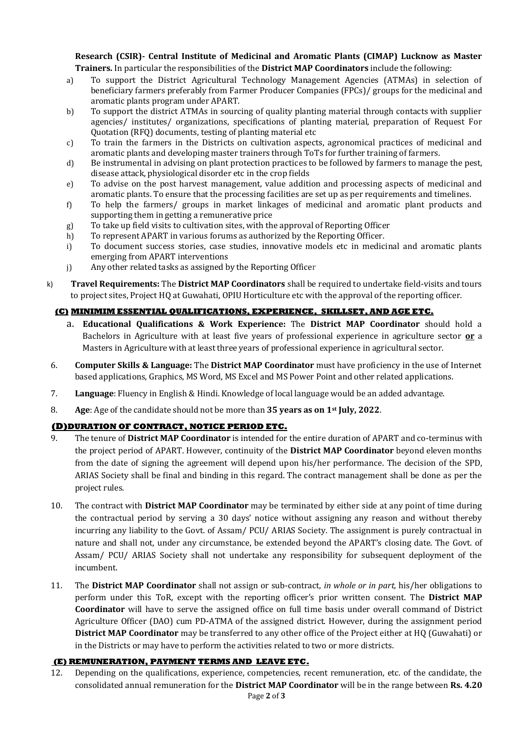### **Research (CSIR)- Central Institute of Medicinal and Aromatic Plants (CIMAP) Lucknow as Master Trainers.** In particular the responsibilities of the **District MAP Coordinators** include the following:

- a) To support the District Agricultural Technology Management Agencies (ATMAs) in selection of beneficiary farmers preferably from Farmer Producer Companies (FPCs)/ groups for the medicinal and aromatic plants program under APART.
- b) To support the district ATMAs in sourcing of quality planting material through contacts with supplier agencies/ institutes/ organizations, specifications of planting material, preparation of Request For Quotation (RFQ) documents, testing of planting material etc
- c) To train the farmers in the Districts on cultivation aspects, agronomical practices of medicinal and aromatic plants and developing master trainers through ToTs for further training of farmers.
- d) Be instrumental in advising on plant protection practices to be followed by farmers to manage the pest, disease attack, physiological disorder etc in the crop fields
- e) To advise on the post harvest management, value addition and processing aspects of medicinal and aromatic plants. To ensure that the processing facilities are set up as per requirements and timelines.
- f) To help the farmers/ groups in market linkages of medicinal and aromatic plant products and supporting them in getting a remunerative price
- g) To take up field visits to cultivation sites, with the approval of Reporting Officer
- h) To represent APART in various forums as authorized by the Reporting Officer.
- i) To document success stories, case studies, innovative models etc in medicinal and aromatic plants emerging from APART interventions
- j) Any other related tasks as assigned by the Reporting Officer
- k) **Travel Requirements:** The **District MAP Coordinators** shall be required to undertake field-visits and tours to project sites, Project HQ at Guwahati, OPIU Horticulture etc with the approval of the reporting officer.

# **(C) MINIMIM ESSENTIAL QUALIFICATIONS, EXPERIENCE, SKILLSET, AND AGE ETC.**

- a. **Educational Qualifications & Work Experience:** The **District MAP Coordinator** should hold a Bachelors in Agriculture with at least five years of professional experience in agriculture sector **or** a Masters in Agriculture with at least three years of professional experience in agricultural sector.
- 6. **Computer Skills & Language:** The **District MAP Coordinator** must have proficiency in the use of Internet based applications, Graphics, MS Word, MS Excel and MS Power Point and other related applications.
- 7. **Language**: Fluency in English & Hindi. Knowledge of local language would be an added advantage.
- 8. **Age**: Age of the candidate should not be more than **35 years as on 1st July, 2022**.

### **(D)DURATION OF CONTRACT, NOTICE PERIOD ETC.**

- 9. The tenure of **District MAP Coordinator** is intended for the entire duration of APART and co-terminus with the project period of APART. However, continuity of the **District MAP Coordinator** beyond eleven months from the date of signing the agreement will depend upon his/her performance. The decision of the SPD, ARIAS Society shall be final and binding in this regard. The contract management shall be done as per the project rules.
- 10. The contract with **District MAP Coordinator** may be terminated by either side at any point of time during the contractual period by serving a 30 days' notice without assigning any reason and without thereby incurring any liability to the Govt. of Assam/ PCU/ ARIAS Society. The assignment is purely contractual in nature and shall not, under any circumstance, be extended beyond the APART's closing date. The Govt. of Assam/ PCU/ ARIAS Society shall not undertake any responsibility for subsequent deployment of the incumbent.
- 11. The **District MAP Coordinator** shall not assign or sub-contract, *in whole or in part,* his/her obligations to perform under this ToR, except with the reporting officer's prior written consent. The **District MAP Coordinator** will have to serve the assigned office on full time basis under overall command of District Agriculture Officer (DAO) cum PD-ATMA of the assigned district. However, during the assignment period **District MAP Coordinator** may be transferred to any other office of the Project either at HQ (Guwahati) or in the Districts or may have to perform the activities related to two or more districts.

### **(E) REMUNERATION, PAYMENT TERMS AND LEAVE ETC.**

12. Depending on the qualifications, experience, competencies, recent remuneration, etc. of the candidate, the consolidated annual remuneration for the **District MAP Coordinator** will be in the range between **Rs. 4.20**